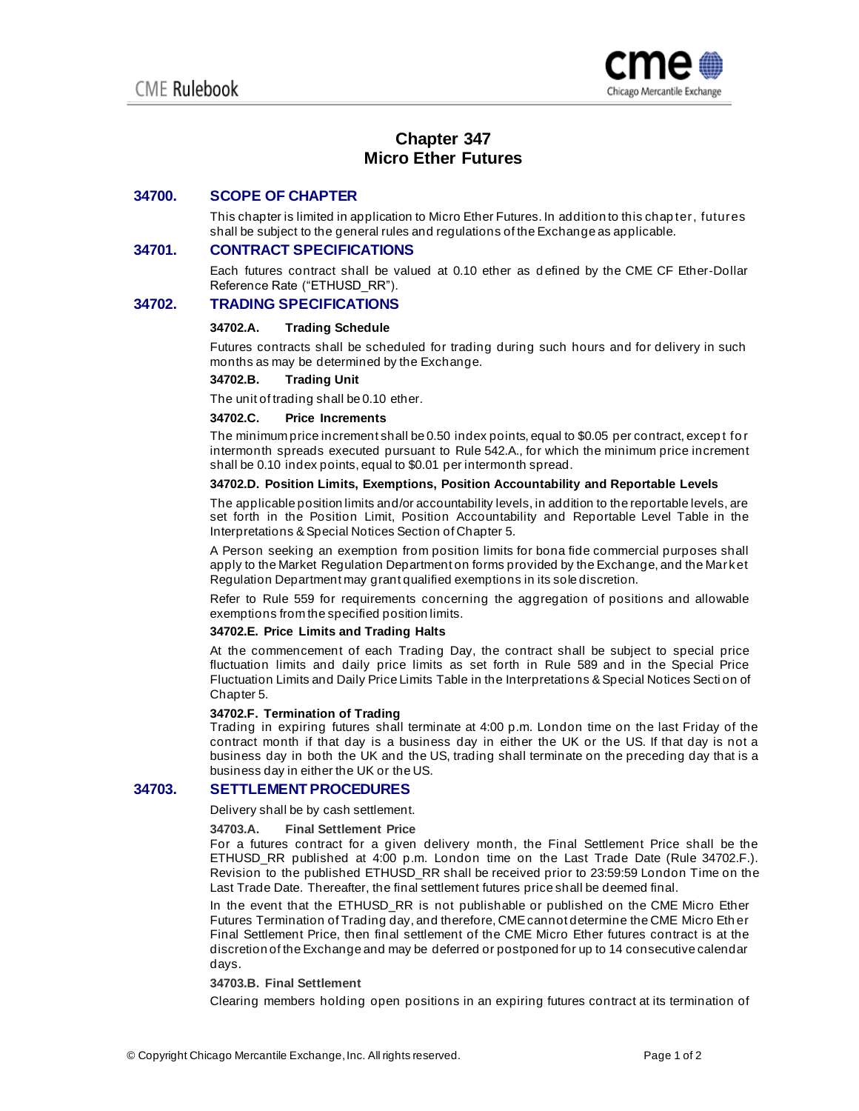

# **Chapter 347 Micro Ether Futures**

# **34700. SCOPE OF CHAPTER**

This chapter is limited in application to Micro Ether Futures. In addition to this chap ter, futures shall be subject to the general rules and regulations of the Exchange as applicable.

# **34701. CONTRACT SPECIFICATIONS**

Each futures contract shall be valued at 0.10 ether as d efined by the CME CF Ether-Dollar Reference Rate ("ETHUSD\_RR").

# **34702. TRADING SPECIFICATIONS**

### **34702.A. Trading Schedule**

Futures contracts shall be scheduled for trading during such hours and for delivery in such months as may be determined by the Exchange.

### **34702.B. Trading Unit**

The unit of trading shall be 0.10 ether.

### **34702.C. Price Increments**

The minimum price increment shall be 0.50 index points, equal to \$0.05 per contract, excep t fo r intermonth spreads executed pursuant to Rule 542.A., for which the minimum price increment shall be 0.10 index points, equal to \$0.01 per intermonth spread.

### **34702.D. Position Limits, Exemptions, Position Accountability and Reportable Levels**

The applicable position limits and/or accountability levels, in addition to the reportable levels, are set forth in the Position Limit, Position Accountability and Reportable Level Table in the Interpretations & Special Notices Section of Chapter 5.

A Person seeking an exemption from position limits for bona fide commercial purposes shall apply to the Market Regulation Department on forms provided by the Exchange, and the Market Regulation Department may grant qualified exemptions in its sole discretion.

Refer to Rule 559 for requirements concerning the aggregation of positions and allowable exemptions from the specified position limits.

#### **34702.E. Price Limits and Trading Halts**

At the commencement of each Trading Day, the contract shall be subject to special price fluctuation limits and daily price limits as set forth in Rule 589 and in the Special Price Fluctuation Limits and Daily Price Limits Table in the Interpretations & Special Notices Secti on of Chapter 5.

### **34702.F. Termination of Trading**

Trading in expiring futures shall terminate at 4:00 p.m. London time on the last Friday of the contract month if that day is a business day in either the UK or the US. If that day is not a business day in both the UK and the US, trading shall terminate on the preceding day that is a business day in either the UK or the US.

# **34703. SETTLEMENT PROCEDURES**

Delivery shall be by cash settlement.

### **34703.A. Final Settlement Price**

For a futures contract for a given delivery month, the Final Settlement Price shall be the ETHUSD\_RR published at 4:00 p.m. London time on the Last Trade Date (Rule 34702.F.). Revision to the published ETHUSD\_RR shall be received prior to 23:59:59 London Time on the Last Trade Date. Thereafter, the final settlement futures price shall be deemed final.

In the event that the ETHUSD\_RR is not publishable or published on the CME Micro Ether Futures Termination of Trading day, and therefore, CME cannot determine the CME Micro Eth er Final Settlement Price, then final settlement of the CME Micro Ether futures contract is at the discretion of the Exchange and may be deferred or postponed for up to 14 consecutive calendar days.

#### **34703.B. Final Settlement**

Clearing members holding open positions in an expiring futures contract at its termination of